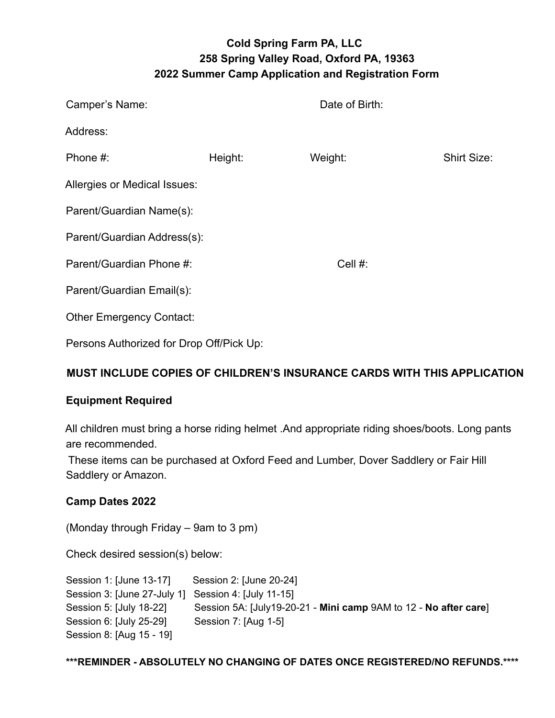# **Cold Spring Farm PA, LLC 258 Spring Valley Road, Oxford PA, 19363 2022 Summer Camp Application and Registration Form**

| Camper's Name:                  |         | Date of Birth: |                    |
|---------------------------------|---------|----------------|--------------------|
| Address:                        |         |                |                    |
| Phone #:                        | Height: | Weight:        | <b>Shirt Size:</b> |
| Allergies or Medical Issues:    |         |                |                    |
| Parent/Guardian Name(s):        |         |                |                    |
| Parent/Guardian Address(s):     |         |                |                    |
| Parent/Guardian Phone #:        |         | Cell $#$ :     |                    |
| Parent/Guardian Email(s):       |         |                |                    |
| <b>Other Emergency Contact:</b> |         |                |                    |
|                                 |         |                |                    |

Persons Authorized for Drop Off/Pick Up:

### **MUST INCLUDE COPIES OF CHILDREN'S INSURANCE CARDS WITH THIS APPLICATION**

### **Equipment Required**

All children must bring a horse riding helmet .And appropriate riding shoes/boots. Long pants are recommended.

These items can be purchased at Oxford Feed and Lumber, Dover Saddlery or Fair Hill Saddlery or Amazon.

### **Camp Dates 2022**

(Monday through Friday – 9am to 3 pm)

Check desired session(s) below:

| Session 1: [June 13-17]                             | Session 2: [June 20-24]                                          |
|-----------------------------------------------------|------------------------------------------------------------------|
| Session 3: [June 27-July 1] Session 4: [July 11-15] |                                                                  |
| Session 5: [July 18-22]                             | Session 5A: [July19-20-21 - Mini camp 9AM to 12 - No after care] |
| Session 6: [July 25-29]                             | Session 7: [Aug 1-5]                                             |
| Session 8: [Aug 15 - 19]                            |                                                                  |

**\*\*\*REMINDER - ABSOLUTELY NO CHANGING OF DATES ONCE REGISTERED/NO REFUNDS.\*\*\*\***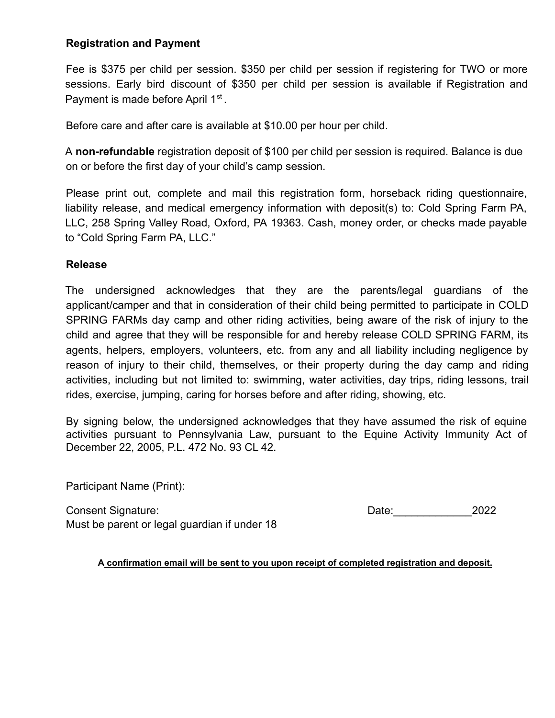### **Registration and Payment**

Fee is \$375 per child per session. \$350 per child per session if registering for TWO or more sessions. Early bird discount of \$350 per child per session is available if Registration and Payment is made before April 1<sup>st</sup>.

Before care and after care is available at \$10.00 per hour per child.

A **non-refundable** registration deposit of \$100 per child per session is required. Balance is due on or before the first day of your child's camp session.

Please print out, complete and mail this registration form, horseback riding questionnaire, liability release, and medical emergency information with deposit(s) to: Cold Spring Farm PA, LLC, 258 Spring Valley Road, Oxford, PA 19363. Cash, money order, or checks made payable to "Cold Spring Farm PA, LLC."

### **Release**

The undersigned acknowledges that they are the parents/legal guardians of the applicant/camper and that in consideration of their child being permitted to participate in COLD SPRING FARMs day camp and other riding activities, being aware of the risk of injury to the child and agree that they will be responsible for and hereby release COLD SPRING FARM, its agents, helpers, employers, volunteers, etc. from any and all liability including negligence by reason of injury to their child, themselves, or their property during the day camp and riding activities, including but not limited to: swimming, water activities, day trips, riding lessons, trail rides, exercise, jumping, caring for horses before and after riding, showing, etc.

By signing below, the undersigned acknowledges that they have assumed the risk of equine activities pursuant to Pennsylvania Law, pursuant to the Equine Activity Immunity Act of December 22, 2005, P.L. 472 No. 93 CL 42.

Participant Name (Print):

Consent Signature: 2022 Must be parent or legal guardian if under 18

**A confirmation email will be sent to you upon receipt of completed registration and deposit.**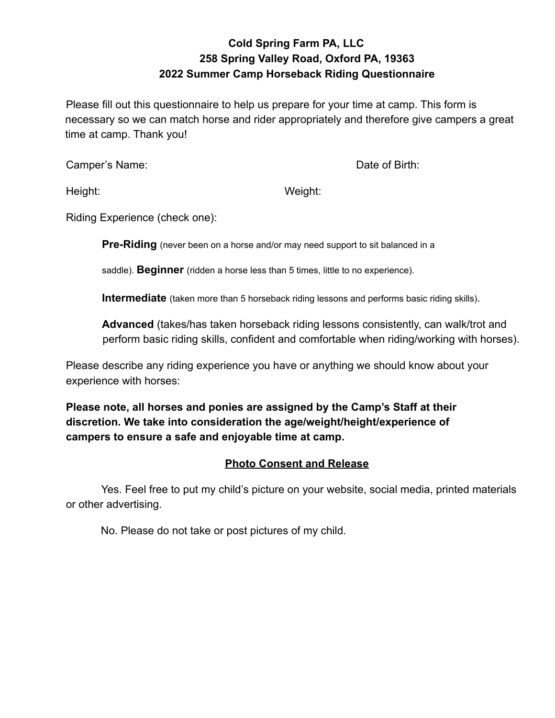# **Cold Spring Farm PA, LLC 258 Spring Valley Road, Oxford PA, 19363 2022 Summer Camp Horseback Riding Questionnaire**

Please fill out this questionnaire to help us prepare for your time at camp. This form is necessary so we can match horse and rider appropriately and therefore give campers a great time at camp. Thank you!

Camper's Name: Camper's Name: Camper's Name: Date of Birth:

Height: Weight:

Riding Experience (check one):

**Pre-Riding** (never been on a horse and/or may need support to sit balanced in a

saddle). **Beginner** (ridden a horse less than 5 times, little to no experience).

**Intermediate** (taken more than 5 horseback riding lessons and performs basic riding skills).

**Advanced** (takes/has taken horseback riding lessons consistently, can walk/trot and perform basic riding skills, confident and comfortable when riding/working with horses).

Please describe any riding experience you have or anything we should know about your experience with horses:

**Please note, all horses and ponies are assigned by the Camp's Staff at their discretion. We take into consideration the age/weight/height/experience of campers to ensure a safe and enjoyable time at camp.**

### **Photo Consent and Release**

Yes. Feel free to put my child's picture on your website, social media, printed materials or other advertising.

No. Please do not take or post pictures of my child.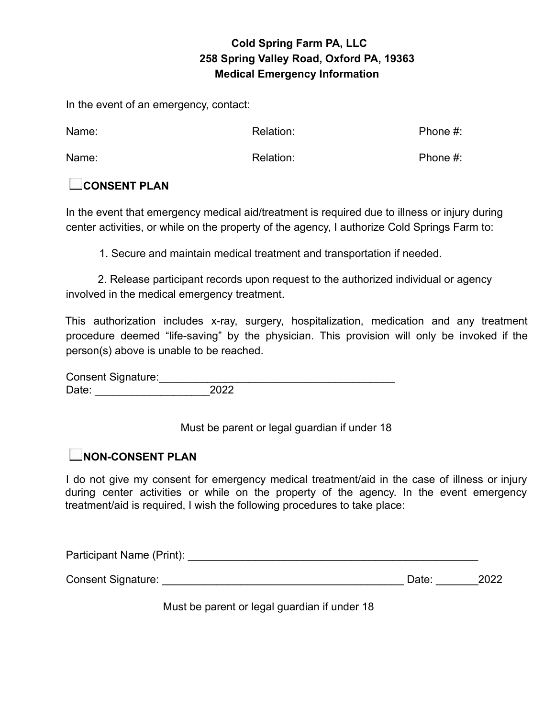## **Cold Spring Farm PA, LLC 258 Spring Valley Road, Oxford PA, 19363 Medical Emergency Information**

In the event of an emergency, contact:

| Name: | Relation: | Phone $#$ : |
|-------|-----------|-------------|
| Name: | Relation: | Phone $#$ : |

## **CONSENT PLAN**

In the event that emergency medical aid/treatment is required due to illness or injury during center activities, or while on the property of the agency, I authorize Cold Springs Farm to:

1. Secure and maintain medical treatment and transportation if needed.

2. Release participant records upon request to the authorized individual or agency involved in the medical emergency treatment.

This authorization includes x-ray, surgery, hospitalization, medication and any treatment procedure deemed "life-saving" by the physician. This provision will only be invoked if the person(s) above is unable to be reached.

Consent Signature:<br>Date: 2022 Date: \_\_\_\_\_\_\_\_\_\_\_\_\_\_\_\_\_\_\_2022

Must be parent or legal guardian if under 18

## **NON-CONSENT PLAN**

I do not give my consent for emergency medical treatment/aid in the case of illness or injury during center activities or while on the property of the agency. In the event emergency treatment/aid is required, I wish the following procedures to take place:

| Participant Name (Print): |       |      |
|---------------------------|-------|------|
| <b>Consent Signature:</b> | Date: | 2022 |

Must be parent or legal guardian if under 18